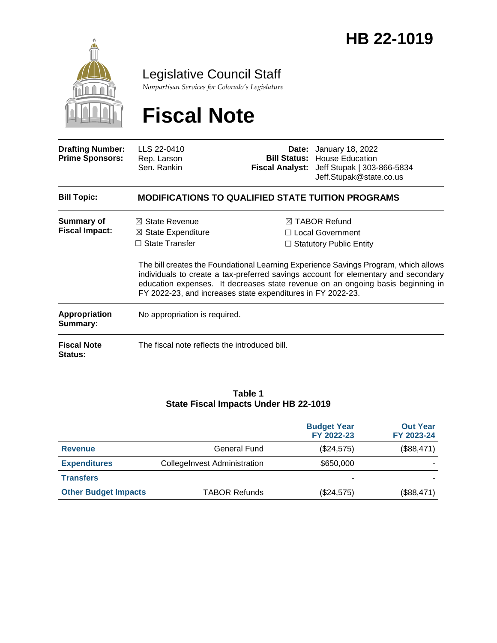

Legislative Council Staff

*Nonpartisan Services for Colorado's Legislature*

# **Fiscal Note**

| <b>Drafting Number:</b><br><b>Prime Sponsors:</b> | LLS 22-0410<br>Rep. Larson<br>Sen. Rankin                                                                                                                                                                                                                                                                                   |  | <b>Date:</b> January 18, 2022<br><b>Bill Status: House Education</b><br>Fiscal Analyst: Jeff Stupak   303-866-5834<br>Jeff.Stupak@state.co.us |  |  |
|---------------------------------------------------|-----------------------------------------------------------------------------------------------------------------------------------------------------------------------------------------------------------------------------------------------------------------------------------------------------------------------------|--|-----------------------------------------------------------------------------------------------------------------------------------------------|--|--|
| <b>Bill Topic:</b>                                | <b>MODIFICATIONS TO QUALIFIED STATE TUITION PROGRAMS</b>                                                                                                                                                                                                                                                                    |  |                                                                                                                                               |  |  |
| <b>Summary of</b><br><b>Fiscal Impact:</b>        | $\boxtimes$ State Revenue<br>$\boxtimes$ State Expenditure<br>$\Box$ State Transfer                                                                                                                                                                                                                                         |  | $\boxtimes$ TABOR Refund<br>□ Local Government<br>$\Box$ Statutory Public Entity                                                              |  |  |
|                                                   | The bill creates the Foundational Learning Experience Savings Program, which allows<br>individuals to create a tax-preferred savings account for elementary and secondary<br>education expenses. It decreases state revenue on an ongoing basis beginning in<br>FY 2022-23, and increases state expenditures in FY 2022-23. |  |                                                                                                                                               |  |  |
| <b>Appropriation</b><br>Summary:                  | No appropriation is required.                                                                                                                                                                                                                                                                                               |  |                                                                                                                                               |  |  |
| <b>Fiscal Note</b><br>Status:                     | The fiscal note reflects the introduced bill.                                                                                                                                                                                                                                                                               |  |                                                                                                                                               |  |  |

#### **Table 1 State Fiscal Impacts Under HB 22-1019**

|                             |                                     | <b>Budget Year</b><br>FY 2022-23 | <b>Out Year</b><br>FY 2023-24 |
|-----------------------------|-------------------------------------|----------------------------------|-------------------------------|
| <b>Revenue</b>              | General Fund                        | (\$24,575)                       | (\$88,471)                    |
| <b>Expenditures</b>         | <b>CollegeInvest Administration</b> | \$650,000                        |                               |
| <b>Transfers</b>            |                                     |                                  |                               |
| <b>Other Budget Impacts</b> | <b>TABOR Refunds</b>                | (\$24,575)                       | (\$88,471)                    |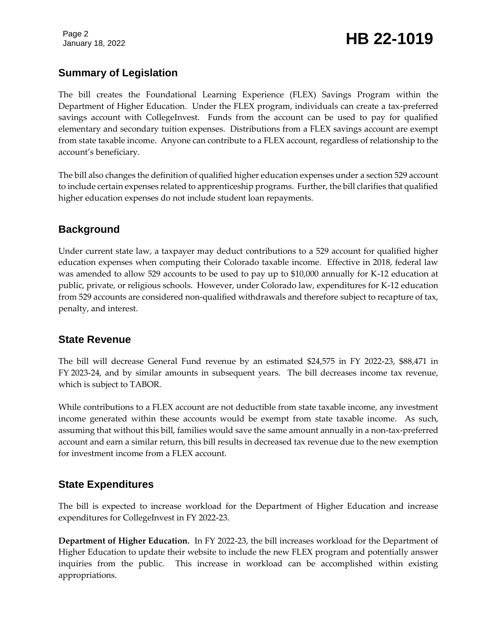Page 2

# January 18, 2022 **HB 22-1019**

# **Summary of Legislation**

The bill creates the Foundational Learning Experience (FLEX) Savings Program within the Department of Higher Education. Under the FLEX program, individuals can create a tax-preferred savings account with CollegeInvest. Funds from the account can be used to pay for qualified elementary and secondary tuition expenses. Distributions from a FLEX savings account are exempt from state taxable income. Anyone can contribute to a FLEX account, regardless of relationship to the account's beneficiary.

The bill also changes the definition of qualified higher education expenses under a section 529 account to include certain expenses related to apprenticeship programs. Further, the bill clarifies that qualified higher education expenses do not include student loan repayments.

# **Background**

Under current state law, a taxpayer may deduct contributions to a 529 account for qualified higher education expenses when computing their Colorado taxable income. Effective in 2018, federal law was amended to allow 529 accounts to be used to pay up to \$10,000 annually for K-12 education at public, private, or religious schools. However, under Colorado law, expenditures for K-12 education from 529 accounts are considered non-qualified withdrawals and therefore subject to recapture of tax, penalty, and interest.

#### **State Revenue**

The bill will decrease General Fund revenue by an estimated \$24,575 in FY 2022-23, \$88,471 in FY 2023-24, and by similar amounts in subsequent years. The bill decreases income tax revenue, which is subject to TABOR.

While contributions to a FLEX account are not deductible from state taxable income, any investment income generated within these accounts would be exempt from state taxable income. As such, assuming that without this bill, families would save the same amount annually in a non-tax-preferred account and earn a similar return, this bill results in decreased tax revenue due to the new exemption for investment income from a FLEX account.

#### **State Expenditures**

The bill is expected to increase workload for the Department of Higher Education and increase expenditures for CollegeInvest in FY 2022-23.

**Department of Higher Education.** In FY 2022-23, the bill increases workload for the Department of Higher Education to update their website to include the new FLEX program and potentially answer inquiries from the public. This increase in workload can be accomplished within existing appropriations.